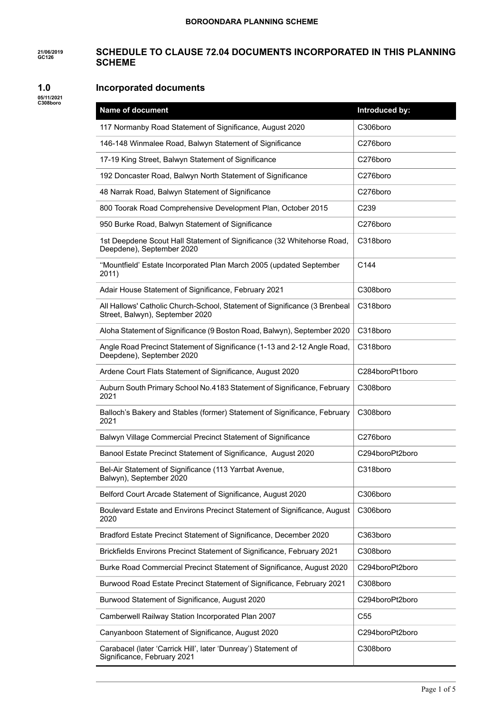#### **21/06/2019 GC126 SCHEDULE TO CLAUSE 72.04 DOCUMENTS INCORPORATED IN THIS PLANNING SCHEME**

#### **1.0 Incorporated documents**

**05/11/2021 C308boro**

| <b>Name of document</b>                                                                                       | Introduced by:   |
|---------------------------------------------------------------------------------------------------------------|------------------|
| 117 Normanby Road Statement of Significance, August 2020                                                      | C306boro         |
| 146-148 Winmalee Road, Balwyn Statement of Significance                                                       | C276boro         |
| 17-19 King Street, Balwyn Statement of Significance                                                           | C276boro         |
| 192 Doncaster Road, Balwyn North Statement of Significance                                                    | C276boro         |
| 48 Narrak Road, Balwyn Statement of Significance                                                              | C276boro         |
| 800 Toorak Road Comprehensive Development Plan, October 2015                                                  | C <sub>239</sub> |
| 950 Burke Road, Balwyn Statement of Significance                                                              | C276boro         |
| 1st Deepdene Scout Hall Statement of Significance (32 Whitehorse Road,<br>Deepdene), September 2020           | C318boro         |
| "Mountfield' Estate Incorporated Plan March 2005 (updated September<br>2011)                                  | C144             |
| Adair House Statement of Significance, February 2021                                                          | C308boro         |
| All Hallows' Catholic Church-School, Statement of Significance (3 Brenbeal<br>Street, Balwyn), September 2020 | C318boro         |
| Aloha Statement of Significance (9 Boston Road, Balwyn), September 2020                                       | C318boro         |
| Angle Road Precinct Statement of Significance (1-13 and 2-12 Angle Road,<br>Deepdene), September 2020         | C318boro         |
| Ardene Court Flats Statement of Significance, August 2020                                                     | C284boroPt1boro  |
| Auburn South Primary School No.4183 Statement of Significance, February<br>2021                               | C308boro         |
| Balloch's Bakery and Stables (former) Statement of Significance, February<br>2021                             | C308boro         |
| Balwyn Village Commercial Precinct Statement of Significance                                                  | C276boro         |
| Banool Estate Precinct Statement of Significance, August 2020                                                 | C294boroPt2boro  |
| Bel-Air Statement of Significance (113 Yarrbat Avenue,<br>Balwyn), September 2020                             | C318boro         |
| Belford Court Arcade Statement of Significance, August 2020                                                   | C306boro         |
| Boulevard Estate and Environs Precinct Statement of Significance, August<br>2020                              | C306boro         |
| Bradford Estate Precinct Statement of Significance, December 2020                                             | C363boro         |
| Brickfields Environs Precinct Statement of Significance, February 2021                                        | C308boro         |
| Burke Road Commercial Precinct Statement of Significance, August 2020                                         | C294boroPt2boro  |
| Burwood Road Estate Precinct Statement of Significance, February 2021                                         | C308boro         |
| Burwood Statement of Significance, August 2020                                                                | C294boroPt2boro  |
| Camberwell Railway Station Incorporated Plan 2007                                                             | C <sub>55</sub>  |
| Canyanboon Statement of Significance, August 2020                                                             | C294boroPt2boro  |
| Carabacel (later 'Carrick Hill', later 'Dunreay') Statement of<br>Significance, February 2021                 | C308boro         |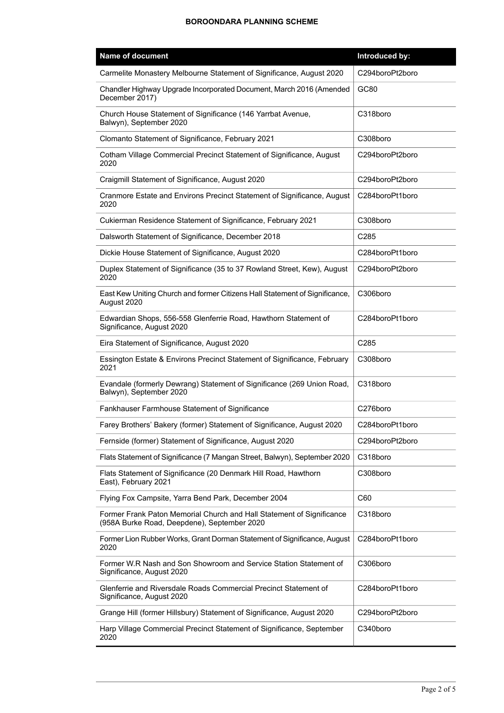| Name of document                                                                                                     | Introduced by:   |
|----------------------------------------------------------------------------------------------------------------------|------------------|
| Carmelite Monastery Melbourne Statement of Significance, August 2020                                                 | C294boroPt2boro  |
| Chandler Highway Upgrade Incorporated Document, March 2016 (Amended<br>December 2017)                                | GC80             |
| Church House Statement of Significance (146 Yarrbat Avenue,<br>Balwyn), September 2020                               | C318boro         |
| Clomanto Statement of Significance, February 2021                                                                    | C308boro         |
| Cotham Village Commercial Precinct Statement of Significance, August<br>2020                                         | C294boroPt2boro  |
| Craigmill Statement of Significance, August 2020                                                                     | C294boroPt2boro  |
| Cranmore Estate and Environs Precinct Statement of Significance, August<br>2020                                      | C284boroPt1boro  |
| Cukierman Residence Statement of Significance, February 2021                                                         | C308boro         |
| Dalsworth Statement of Significance, December 2018                                                                   | C <sub>285</sub> |
| Dickie House Statement of Significance, August 2020                                                                  | C284boroPt1boro  |
| Duplex Statement of Significance (35 to 37 Rowland Street, Kew), August<br>2020                                      | C294boroPt2boro  |
| East Kew Uniting Church and former Citizens Hall Statement of Significance,<br>August 2020                           | C306boro         |
| Edwardian Shops, 556-558 Glenferrie Road, Hawthorn Statement of<br>Significance, August 2020                         | C284boroPt1boro  |
| Eira Statement of Significance, August 2020                                                                          | C285             |
| Essington Estate & Environs Precinct Statement of Significance, February<br>2021                                     | C308boro         |
| Evandale (formerly Dewrang) Statement of Significance (269 Union Road,<br>Balwyn), September 2020                    | C318boro         |
| Fankhauser Farmhouse Statement of Significance                                                                       | C276boro         |
| Farey Brothers' Bakery (former) Statement of Significance, August 2020                                               | C284boroPt1boro  |
| Fernside (former) Statement of Significance, August 2020                                                             | C294boroPt2boro  |
| Flats Statement of Significance (7 Mangan Street, Balwyn), September 2020                                            | C318boro         |
| Flats Statement of Significance (20 Denmark Hill Road, Hawthorn<br>East), February 2021                              | C308boro         |
| Flying Fox Campsite, Yarra Bend Park, December 2004                                                                  | C60              |
| Former Frank Paton Memorial Church and Hall Statement of Significance<br>(958A Burke Road, Deepdene), September 2020 | C318boro         |
| Former Lion Rubber Works, Grant Dorman Statement of Significance, August<br>2020                                     | C284boroPt1boro  |
| Former W.R Nash and Son Showroom and Service Station Statement of<br>Significance, August 2020                       | C306boro         |
| Glenferrie and Riversdale Roads Commercial Precinct Statement of<br>Significance, August 2020                        | C284boroPt1boro  |
| Grange Hill (former Hillsbury) Statement of Significance, August 2020                                                | C294boroPt2boro  |
| Harp Village Commercial Precinct Statement of Significance, September<br>2020                                        | C340boro         |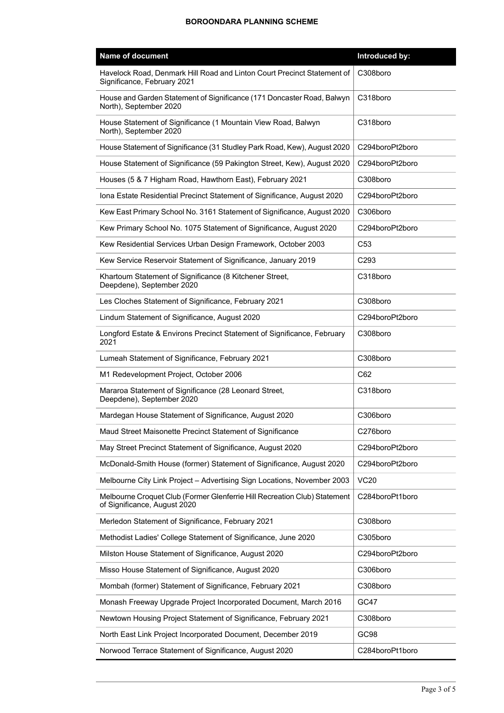| <b>Name of document</b>                                                                                   | Introduced by:   |
|-----------------------------------------------------------------------------------------------------------|------------------|
| Havelock Road, Denmark Hill Road and Linton Court Precinct Statement of<br>Significance, February 2021    | C308boro         |
| House and Garden Statement of Significance (171 Doncaster Road, Balwyn<br>North), September 2020          | C318boro         |
| House Statement of Significance (1 Mountain View Road, Balwyn<br>North), September 2020                   | C318boro         |
| House Statement of Significance (31 Studley Park Road, Kew), August 2020                                  | C294boroPt2boro  |
| House Statement of Significance (59 Pakington Street, Kew), August 2020                                   | C294boroPt2boro  |
| Houses (5 & 7 Higham Road, Hawthorn East), February 2021                                                  | C308boro         |
| Iona Estate Residential Precinct Statement of Significance, August 2020                                   | C294boroPt2boro  |
| Kew East Primary School No. 3161 Statement of Significance, August 2020                                   | C306boro         |
| Kew Primary School No. 1075 Statement of Significance, August 2020                                        | C294boroPt2boro  |
| Kew Residential Services Urban Design Framework, October 2003                                             | C <sub>53</sub>  |
| Kew Service Reservoir Statement of Significance, January 2019                                             | C <sub>293</sub> |
| Khartoum Statement of Significance (8 Kitchener Street,<br>Deepdene), September 2020                      | C318boro         |
| Les Cloches Statement of Significance, February 2021                                                      | C308boro         |
| Lindum Statement of Significance, August 2020                                                             | C294boroPt2boro  |
| Longford Estate & Environs Precinct Statement of Significance, February<br>2021                           | C308boro         |
| Lumeah Statement of Significance, February 2021                                                           | C308boro         |
| M1 Redevelopment Project, October 2006                                                                    | C62              |
| Mararoa Statement of Significance (28 Leonard Street,<br>Deepdene), September 2020                        | C318boro         |
| Mardegan House Statement of Significance, August 2020                                                     | C306boro         |
| Maud Street Maisonette Precinct Statement of Significance                                                 | C276boro         |
| May Street Precinct Statement of Significance, August 2020                                                | C294boroPt2boro  |
| McDonald-Smith House (former) Statement of Significance, August 2020                                      | C294boroPt2boro  |
| Melbourne City Link Project - Advertising Sign Locations, November 2003                                   | <b>VC20</b>      |
| Melbourne Croquet Club (Former Glenferrie Hill Recreation Club) Statement<br>of Significance, August 2020 | C284boroPt1boro  |
| Merledon Statement of Significance, February 2021                                                         | C308boro         |
| Methodist Ladies' College Statement of Significance, June 2020                                            | C305boro         |
| Milston House Statement of Significance, August 2020                                                      | C294boroPt2boro  |
| Misso House Statement of Significance, August 2020                                                        | C306boro         |
| Mombah (former) Statement of Significance, February 2021                                                  | C308boro         |
| Monash Freeway Upgrade Project Incorporated Document, March 2016                                          | GC47             |
| Newtown Housing Project Statement of Significance, February 2021                                          | C308boro         |
| North East Link Project Incorporated Document, December 2019                                              | GC98             |
| Norwood Terrace Statement of Significance, August 2020                                                    | C284boroPt1boro  |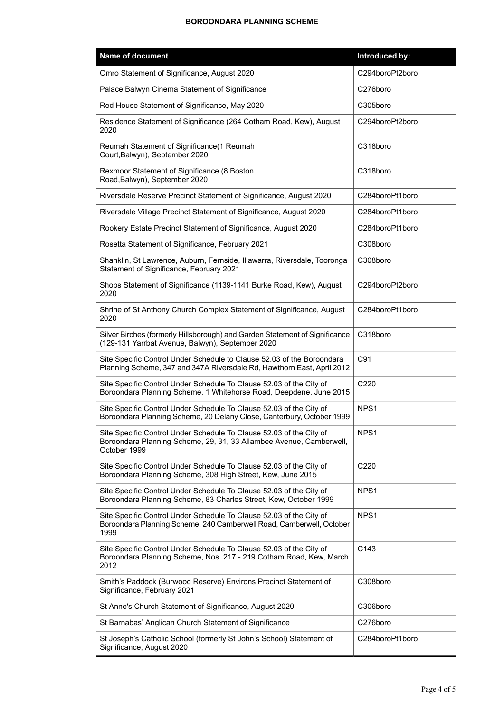| Name of document                                                                                                                                           | Introduced by:   |
|------------------------------------------------------------------------------------------------------------------------------------------------------------|------------------|
| Omro Statement of Significance, August 2020                                                                                                                | C294boroPt2boro  |
| Palace Balwyn Cinema Statement of Significance                                                                                                             | C276boro         |
| Red House Statement of Significance, May 2020                                                                                                              | C305boro         |
| Residence Statement of Significance (264 Cotham Road, Kew), August<br>2020                                                                                 | C294boroPt2boro  |
| Reumah Statement of Significance(1 Reumah<br>Court, Balwyn), September 2020                                                                                | C318boro         |
| Rexmoor Statement of Significance (8 Boston<br>Road, Balwyn), September 2020                                                                               | C318boro         |
| Riversdale Reserve Precinct Statement of Significance, August 2020                                                                                         | C284boroPt1boro  |
| Riversdale Village Precinct Statement of Significance, August 2020                                                                                         | C284boroPt1boro  |
| Rookery Estate Precinct Statement of Significance, August 2020                                                                                             | C284boroPt1boro  |
| Rosetta Statement of Significance, February 2021                                                                                                           | C308boro         |
| Shanklin, St Lawrence, Auburn, Fernside, Illawarra, Riversdale, Tooronga<br>Statement of Significance, February 2021                                       | C308boro         |
| Shops Statement of Significance (1139-1141 Burke Road, Kew), August<br>2020                                                                                | C294boroPt2boro  |
| Shrine of St Anthony Church Complex Statement of Significance, August<br>2020                                                                              | C284boroPt1boro  |
| Silver Birches (formerly Hillsborough) and Garden Statement of Significance<br>(129-131 Yarrbat Avenue, Balwyn), September 2020                            | C318boro         |
| Site Specific Control Under Schedule to Clause 52.03 of the Boroondara<br>Planning Scheme, 347 and 347A Riversdale Rd, Hawthorn East, April 2012           | C91              |
| Site Specific Control Under Schedule To Clause 52.03 of the City of<br>Boroondara Planning Scheme, 1 Whitehorse Road, Deepdene, June 2015                  | C220             |
| Site Specific Control Under Schedule To Clause 52.03 of the City of<br>Boroondara Planning Scheme, 20 Delany Close, Canterbury, October 1999               | NPS <sub>1</sub> |
| Site Specific Control Under Schedule To Clause 52.03 of the City of<br>Boroondara Planning Scheme, 29, 31, 33 Allambee Avenue, Camberwell,<br>October 1999 | NPS <sub>1</sub> |
| Site Specific Control Under Schedule To Clause 52.03 of the City of<br>Boroondara Planning Scheme, 308 High Street, Kew, June 2015                         | C <sub>220</sub> |
| Site Specific Control Under Schedule To Clause 52.03 of the City of<br>Boroondara Planning Scheme, 83 Charles Street, Kew, October 1999                    | NPS <sub>1</sub> |
| Site Specific Control Under Schedule To Clause 52.03 of the City of<br>Boroondara Planning Scheme, 240 Camberwell Road, Camberwell, October<br>1999        | NPS <sub>1</sub> |
| Site Specific Control Under Schedule To Clause 52.03 of the City of<br>Boroondara Planning Scheme, Nos. 217 - 219 Cotham Road, Kew, March<br>2012          | C143             |
| Smith's Paddock (Burwood Reserve) Environs Precinct Statement of<br>Significance, February 2021                                                            | C308boro         |
| St Anne's Church Statement of Significance, August 2020                                                                                                    | C306boro         |
| St Barnabas' Anglican Church Statement of Significance                                                                                                     | C276boro         |
| St Joseph's Catholic School (formerly St John's School) Statement of<br>Significance, August 2020                                                          | C284boroPt1boro  |